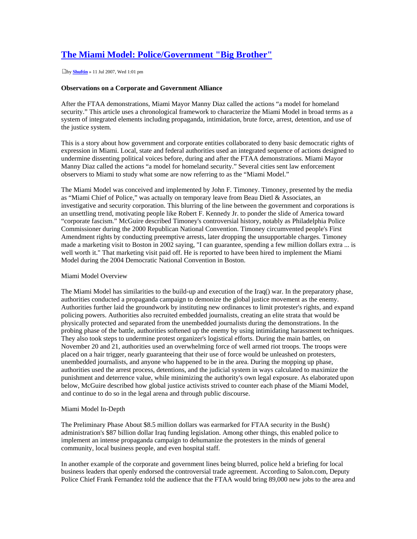# **The Miami Model: Police/Government "Big Brother"**

by **[Shuftin](http://policecrimes.com/forum/memberlist.php?mode=viewprofile&u=12&sid=dcfc4c72063af943c5211c1226d0ae1c)** » 11 Jul 2007, Wed 1:01 pm

## **Observations on a Corporate and Government Alliance**

After the FTAA demonstrations, Miami Mayor Manny Diaz called the actions "a model for homeland security." This article uses a chronological framework to characterize the Miami Model in broad terms as a system of integrated elements including propaganda, intimidation, brute force, arrest, detention, and use of the justice system.

This is a story about how government and corporate entities collaborated to deny basic democratic rights of expression in Miami. Local, state and federal authorities used an integrated sequence of actions designed to undermine dissenting political voices before, during and after the FTAA demonstrations. Miami Mayor Manny Diaz called the actions "a model for homeland security." Several cities sent law enforcement observers to Miami to study what some are now referring to as the "Miami Model."

The Miami Model was conceived and implemented by John F. Timoney. Timoney, presented by the media as "Miami Chief of Police," was actually on temporary leave from Beau Dietl & Associates, an investigative and security corporation. This blurring of the line between the government and corporations is an unsettling trend, motivating people like Robert F. Kennedy Jr. to ponder the slide of America toward "corporate fascism." McGuire described Timoney's controversial history, notably as Philadelphia Police Commissioner during the 2000 Republican National Convention. Timoney circumvented people's First Amendment rights by conducting preemptive arrests, later dropping the unsupportable charges. Timoney made a marketing visit to Boston in 2002 saying, "I can guarantee, spending a few million dollars extra ... is well worth it." That marketing visit paid off. He is reported to have been hired to implement the Miami Model during the 2004 Democratic National Convention in Boston.

### Miami Model Overview

The Miami Model has similarities to the build-up and execution of the Iraq() war. In the preparatory phase, authorities conducted a propaganda campaign to demonize the global justice movement as the enemy. Authorities further laid the groundwork by instituting new ordinances to limit protester's rights, and expand policing powers. Authorities also recruited embedded journalists, creating an elite strata that would be physically protected and separated from the unembedded journalists during the demonstrations. In the probing phase of the battle, authorities softened up the enemy by using intimidating harassment techniques. They also took steps to undermine protest organizer's logistical efforts. During the main battles, on November 20 and 21, authorities used an overwhelming force of well armed riot troops. The troops were placed on a hair trigger, nearly guaranteeing that their use of force would be unleashed on protesters, unembedded journalists, and anyone who happened to be in the area. During the mopping up phase, authorities used the arrest process, detentions, and the judicial system in ways calculated to maximize the punishment and deterrence value, while minimizing the authority's own legal exposure. As elaborated upon below, McGuire described how global justice activists strived to counter each phase of the Miami Model, and continue to do so in the legal arena and through public discourse.

### Miami Model In-Depth

The Preliminary Phase About \$8.5 million dollars was earmarked for FTAA security in the Bush() administration's \$87 billion dollar Iraq funding legislation. Among other things, this enabled police to implement an intense propaganda campaign to dehumanize the protesters in the minds of general community, local business people, and even hospital staff.

In another example of the corporate and government lines being blurred, police held a briefing for local business leaders that openly endorsed the controversial trade agreement. According to Salon.com, Deputy Police Chief Frank Fernandez told the audience that the FTAA would bring 89,000 new jobs to the area and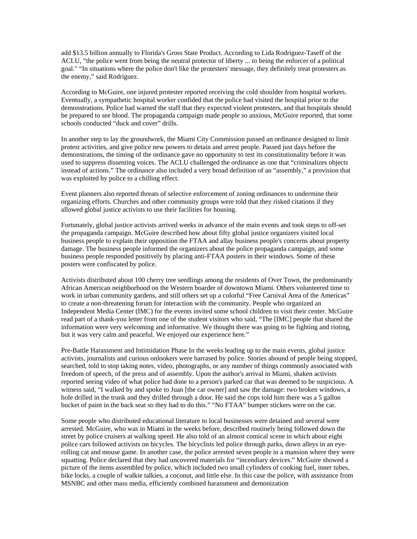add \$13.5 billion annually to Florida's Gross State Product. According to Lida Rodriguez-Taseff of the ACLU, "the police went from being the neutral protector of liberty ... to being the enforcer of a political goal." "In situations where the police don't like the protesters' message, they definitely treat protesters as the enemy," said Rodriguez.

According to McGuire, one injured protester reported receiving the cold shoulder from hospital workers. Eventually, a sympathetic hospital worker confided that the police had visited the hospital prior to the demonstrations. Police had warned the staff that they expected violent protesters, and that hospitals should be prepared to see blood. The propaganda campaign made people so anxious, McGuire reported, that some schools conducted "duck and cover" drills.

In another step to lay the groundwork, the Miami City Commission passed an ordinance designed to limit protest activities, and give police new powers to detain and arrest people. Passed just days before the demonstrations, the timing of the ordinance gave no opportunity to test its constitutionality before it was used to suppress dissenting voices. The ACLU challenged the ordinance as one that "criminalizes objects instead of actions." The ordinance also included a very broad definition of an "assembly," a provision that was exploited by police to a chilling effect.

Event planners also reported threats of selective enforcement of zoning ordinances to undermine their organizing efforts. Churches and other community groups were told that they risked citations if they allowed global justice activists to use their facilities for housing.

Fortunately, global justice activists arrived weeks in advance of the main events and took steps to off-set the propaganda campaign. McGuire described how about fifty global justice organizers visited local business people to explain their opposition the FTAA and allay business people's concerns about property damage. The business people informed the organizers about the police propaganda campaign, and some business people responded positively by placing anti-FTAA posters in their windows. Some of these posters were confiscated by police.

Activists distributed about 100 cherry tree seedlings among the residents of Over Town, the predominantly African American neighborhood on the Western boarder of downtown Miami. Others volunteered time to work in urban community gardens, and still others set up a colorful "Free Carnival Area of the Americas" to create a non-threatening forum for interaction with the community. People who organized an Independent Media Center (IMC) for the events invited some school children to visit their center. McGuire read part of a thank-you letter from one of the student visitors who said, "The [IMC] people that shared the information were very welcoming and informative. We thought there was going to be fighting and rioting, but it was very calm and peaceful. We enjoyed our experience here."

Pre-Battle Harassment and Intimidation Phase In the weeks leading up to the main events, global justice activists, journalists and curious onlookers were harrased by police. Stories abound of people being stopped, searched, told to stop taking notes, video, photographs, or any number of things commonly associated with freedom of speech, of the press and of assembly. Upon the author's arrival in Miami, shaken activists reported seeing video of what police had done to a person's parked car that was deemed to be suspicious. A witness said, "I walked by and spoke to Juan [the car owner] and saw the damage: two broken windows, a hole drilled in the trunk and they drilled through a door. He said the cops told him there was a 5 gallon bucket of paint in the back seat so they had to do this." "No FTAA" bumper stickers were on the car.

Some people who distributed educational literature to local businesses were detained and several were arrested. McGuire, who was in Miami in the weeks before, described routinely being followed down the street by police cruisers at walking speed. He also told of an almost comical scene in which about eight police cars followed activists on bicycles. The bicyclists led police through parks, down alleys in an eyerolling cat and mouse game. In another case, the police arrested seven people in a mansion where they were squatting. Police declared that they had uncovered materials for "incendiary devices." McGuire showed a picture of the items assembled by police, which included two small cylinders of cooking fuel, inner tubes, bike locks, a couple of walkie talkies, a coconut, and little else. In this case the police, with assistance from MSNBC and other mass media, efficiently combined harassment and demonization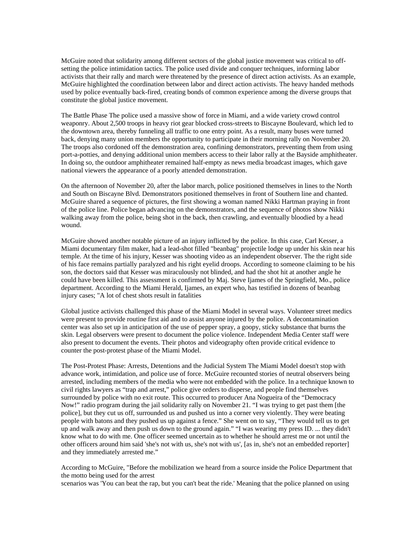McGuire noted that solidarity among different sectors of the global justice movement was critical to offsetting the police intimidation tactics. The police used divide and conquer techniques, informing labor activists that their rally and march were threatened by the presence of direct action activists. As an example, McGuire highlighted the coordination between labor and direct action activists. The heavy handed methods used by police eventually back-fired, creating bonds of common experience among the diverse groups that constitute the global justice movement.

The Battle Phase The police used a massive show of force in Miami, and a wide variety crowd control weaponry. About 2,500 troops in heavy riot gear blocked cross-streets to Biscayne Boulevard, which led to the downtown area, thereby funneling all traffic to one entry point. As a result, many buses were turned back, denying many union members the opportunity to participate in their morning rally on November 20. The troops also cordoned off the demonstration area, confining demonstrators, preventing them from using port-a-potties, and denying additional union members access to their labor rally at the Bayside amphitheater. In doing so, the outdoor amphitheater remained half-empty as news media broadcast images, which gave national viewers the appearance of a poorly attended demonstration.

On the afternoon of November 20, after the labor march, police positioned themselves in lines to the North and South on Biscayne Blvd. Demonstrators positioned themselves in front of Southern line and chanted. McGuire shared a sequence of pictures, the first showing a woman named Nikki Hartman praying in front of the police line. Police began advancing on the demonstrators, and the sequence of photos show Nikki walking away from the police, being shot in the back, then crawling, and eventually bloodied by a head wound.

McGuire showed another notable picture of an injury inflicted by the police. In this case, Carl Kesser, a Miami documentary film maker, had a lead-shot filled "beanbag" projectile lodge up under his skin near his temple. At the time of his injury, Kesser was shooting video as an independent observer. The the right side of his face remains partially paralyzed and his right eyelid droops. According to someone claiming to be his son, the doctors said that Kesser was miraculously not blinded, and had the shot hit at another angle he could have been killed. This assessment is confirmed by Maj. Steve Ijames of the Springfield, Mo., police department. According to the Miami Herald, Ijames, an expert who, has testified in dozens of beanbag injury cases; "A lot of chest shots result in fatalities

Global justice activists challenged this phase of the Miami Model in several ways. Volunteer street medics were present to provide routine first aid and to assist anyone injured by the police. A decontamination center was also set up in anticipation of the use of pepper spray, a goopy, sticky substance that burns the skin. Legal observers were present to document the police violence. Independent Media Center staff were also present to document the events. Their photos and videography often provide critical evidence to counter the post-protest phase of the Miami Model.

The Post-Protest Phase: Arrests, Detentions and the Judicial System The Miami Model doesn't stop with advance work, intimidation, and police use of force. McGuire recounted stories of neutral observers being arrested, including members of the media who were not embedded with the police. In a technique known to civil rights lawyers as "trap and arrest," police give orders to disperse, and people find themselves surrounded by police with no exit route. This occurred to producer Ana Nogueira of the "Democracy Now!" radio program during the jail solidarity rally on November 21. "I was trying to get past them [the police], but they cut us off, surrounded us and pushed us into a corner very violently. They were beating people with batons and they pushed us up against a fence." She went on to say, "They would tell us to get up and walk away and then push us down to the ground again." "I was wearing my press ID. ... they didn't know what to do with me. One officer seemed uncertain as to whether he should arrest me or not until the other officers around him said 'she's not with us, she's not with us', [as in, she's not an embedded reporter] and they immediately arrested me."

According to McGuire, "Before the mobilization we heard from a source inside the Police Department that the motto being used for the arrest

scenarios was 'You can beat the rap, but you can't beat the ride.' Meaning that the police planned on using